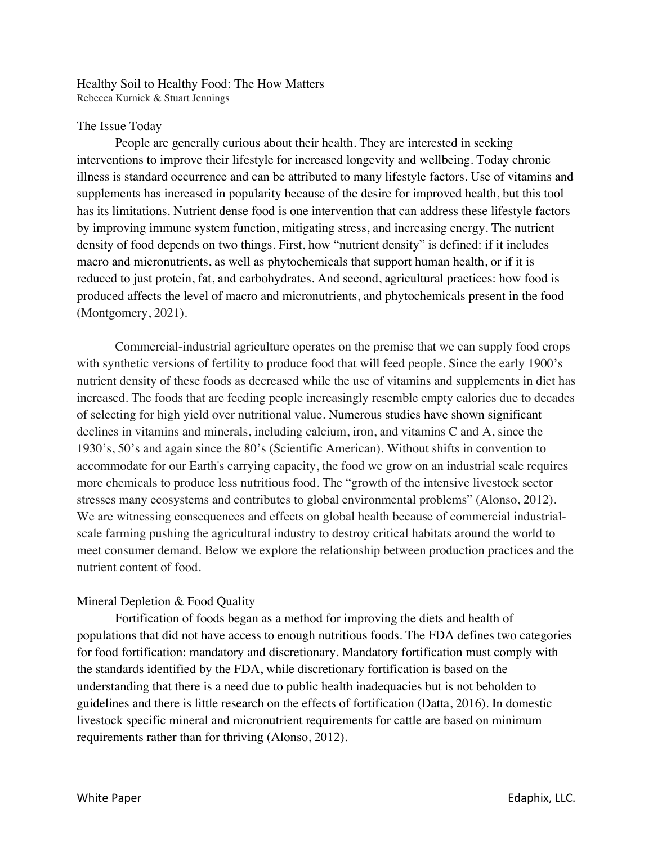#### Healthy Soil to Healthy Food: The How Matters Rebecca Kurnick & Stuart Jennings

## The Issue Today

People are generally curious about their health. They are interested in seeking interventions to improve their lifestyle for increased longevity and wellbeing. Today chronic illness is standard occurrence and can be attributed to many lifestyle factors. Use of vitamins and supplements has increased in popularity because of the desire for improved health, but this tool has its limitations. Nutrient dense food is one intervention that can address these lifestyle factors by improving immune system function, mitigating stress, and increasing energy. The nutrient density of food depends on two things. First, how "nutrient density" is defined: if it includes macro and micronutrients, as well as phytochemicals that support human health, or if it is reduced to just protein, fat, and carbohydrates. And second, agricultural practices: how food is produced affects the level of macro and micronutrients, and phytochemicals present in the food (Montgomery, 2021).

Commercial-industrial agriculture operates on the premise that we can supply food crops with synthetic versions of fertility to produce food that will feed people. Since the early 1900's nutrient density of these foods as decreased while the use of vitamins and supplements in diet has increased. The foods that are feeding people increasingly resemble empty calories due to decades of selecting for high yield over nutritional value. Numerous studies have shown significant declines in vitamins and minerals, including calcium, iron, and vitamins C and A, since the 1930's, 50's and again since the 80's (Scientific American). Without shifts in convention to accommodate for our Earth's carrying capacity, the food we grow on an industrial scale requires more chemicals to produce less nutritious food. The "growth of the intensive livestock sector stresses many ecosystems and contributes to global environmental problems" (Alonso, 2012). We are witnessing consequences and effects on global health because of commercial industrialscale farming pushing the agricultural industry to destroy critical habitats around the world to meet consumer demand. Below we explore the relationship between production practices and the nutrient content of food.

# Mineral Depletion & Food Quality

Fortification of foods began as a method for improving the diets and health of populations that did not have access to enough nutritious foods. The FDA defines two categories for food fortification: mandatory and discretionary. Mandatory fortification must comply with the standards identified by the FDA, while discretionary fortification is based on the understanding that there is a need due to public health inadequacies but is not beholden to guidelines and there is little research on the effects of fortification (Datta, 2016). In domestic livestock specific mineral and micronutrient requirements for cattle are based on minimum requirements rather than for thriving (Alonso, 2012).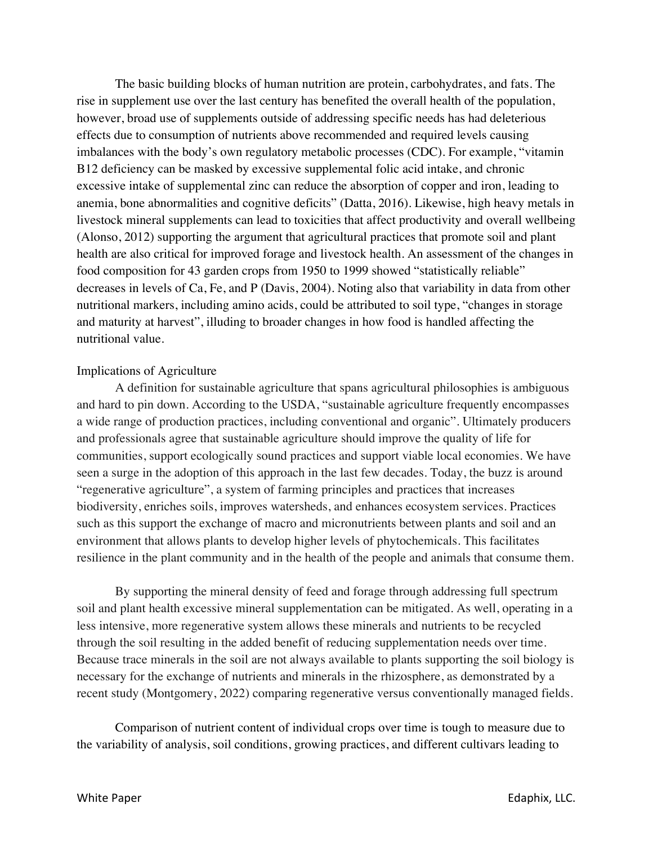The basic building blocks of human nutrition are protein, carbohydrates, and fats. The rise in supplement use over the last century has benefited the overall health of the population, however, broad use of supplements outside of addressing specific needs has had deleterious effects due to consumption of nutrients above recommended and required levels causing imbalances with the body's own regulatory metabolic processes (CDC). For example, "vitamin B12 deficiency can be masked by excessive supplemental folic acid intake, and chronic excessive intake of supplemental zinc can reduce the absorption of copper and iron, leading to anemia, bone abnormalities and cognitive deficits" (Datta, 2016). Likewise, high heavy metals in livestock mineral supplements can lead to toxicities that affect productivity and overall wellbeing (Alonso, 2012) supporting the argument that agricultural practices that promote soil and plant health are also critical for improved forage and livestock health. An assessment of the changes in food composition for 43 garden crops from 1950 to 1999 showed "statistically reliable" decreases in levels of Ca, Fe, and P (Davis, 2004). Noting also that variability in data from other nutritional markers, including amino acids, could be attributed to soil type, "changes in storage and maturity at harvest", illuding to broader changes in how food is handled affecting the nutritional value.

#### Implications of Agriculture

A definition for sustainable agriculture that spans agricultural philosophies is ambiguous and hard to pin down. According to the USDA, "sustainable agriculture frequently encompasses a wide range of production practices, including conventional and organic". Ultimately producers and professionals agree that sustainable agriculture should improve the quality of life for communities, support ecologically sound practices and support viable local economies. We have seen a surge in the adoption of this approach in the last few decades. Today, the buzz is around "regenerative agriculture", a system of farming principles and practices that increases biodiversity, enriches soils, improves watersheds, and enhances ecosystem services. Practices such as this support the exchange of macro and micronutrients between plants and soil and an environment that allows plants to develop higher levels of phytochemicals. This facilitates resilience in the plant community and in the health of the people and animals that consume them.

By supporting the mineral density of feed and forage through addressing full spectrum soil and plant health excessive mineral supplementation can be mitigated. As well, operating in a less intensive, more regenerative system allows these minerals and nutrients to be recycled through the soil resulting in the added benefit of reducing supplementation needs over time. Because trace minerals in the soil are not always available to plants supporting the soil biology is necessary for the exchange of nutrients and minerals in the rhizosphere, as demonstrated by a recent study (Montgomery, 2022) comparing regenerative versus conventionally managed fields.

Comparison of nutrient content of individual crops over time is tough to measure due to the variability of analysis, soil conditions, growing practices, and different cultivars leading to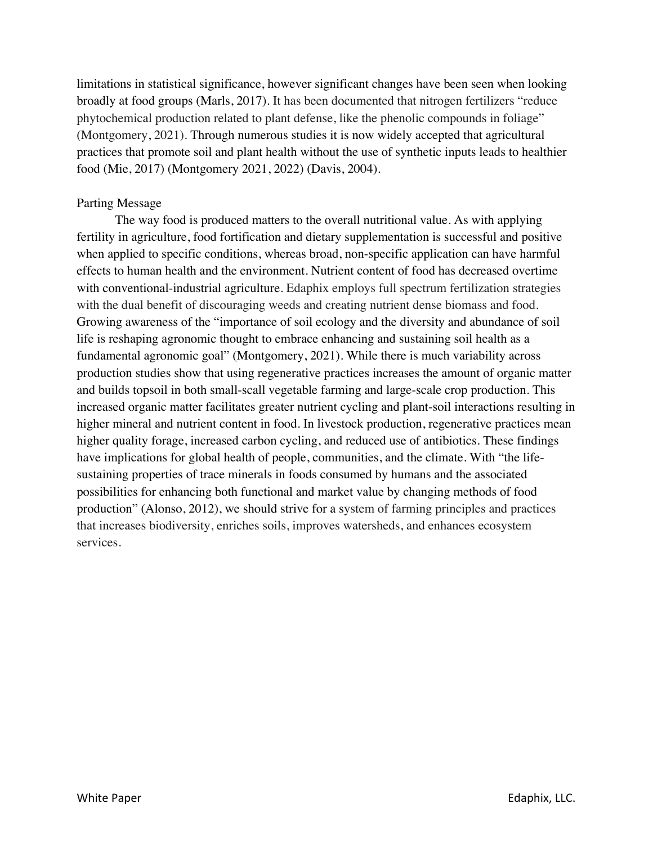limitations in statistical significance, however significant changes have been seen when looking broadly at food groups (Marls, 2017). It has been documented that nitrogen fertilizers "reduce phytochemical production related to plant defense, like the phenolic compounds in foliage" (Montgomery, 2021). Through numerous studies it is now widely accepted that agricultural practices that promote soil and plant health without the use of synthetic inputs leads to healthier food (Mie, 2017) (Montgomery 2021, 2022) (Davis, 2004).

### Parting Message

The way food is produced matters to the overall nutritional value. As with applying fertility in agriculture, food fortification and dietary supplementation is successful and positive when applied to specific conditions, whereas broad, non-specific application can have harmful effects to human health and the environment. Nutrient content of food has decreased overtime with conventional-industrial agriculture. Edaphix employs full spectrum fertilization strategies with the dual benefit of discouraging weeds and creating nutrient dense biomass and food. Growing awareness of the "importance of soil ecology and the diversity and abundance of soil life is reshaping agronomic thought to embrace enhancing and sustaining soil health as a fundamental agronomic goal" (Montgomery, 2021). While there is much variability across production studies show that using regenerative practices increases the amount of organic matter and builds topsoil in both small-scall vegetable farming and large-scale crop production. This increased organic matter facilitates greater nutrient cycling and plant-soil interactions resulting in higher mineral and nutrient content in food. In livestock production, regenerative practices mean higher quality forage, increased carbon cycling, and reduced use of antibiotics. These findings have implications for global health of people, communities, and the climate. With "the lifesustaining properties of trace minerals in foods consumed by humans and the associated possibilities for enhancing both functional and market value by changing methods of food production" (Alonso, 2012), we should strive for a system of farming principles and practices that increases biodiversity, enriches soils, improves watersheds, and enhances ecosystem services.